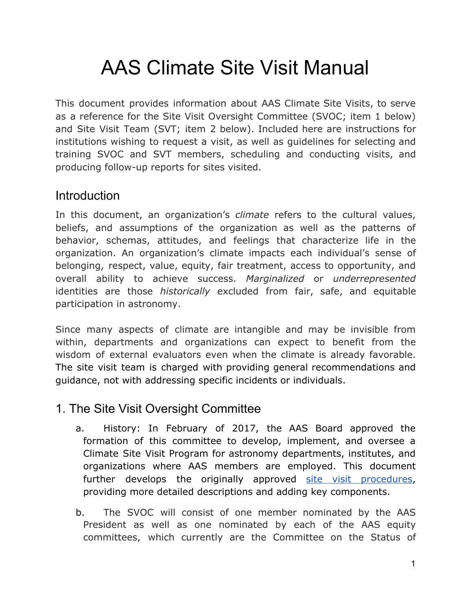# AAS Climate Site Visit Manual

This document provides information about AAS Climate Site Visits, to serve as a reference for the Site Visit Oversight Committee (SVOC; item 1 below) and Site Visit Team (SVT; item 2 below). Included here are instructions for institutions wishing to request a visit, as well as guidelines for selecting and training SVOC and SVT members, scheduling and conducting visits, and producing follow-up reports for sites visited.

#### **Introduction**

In this document, an organization's *climate* refers to the cultural values, beliefs, and assumptions of the organization as well as the patterns of behavior, schemas, attitudes, and feelings that characterize life in the organization. An organization's climate impacts each individual's sense of belonging, respect, value, equity, fair treatment, access to opportunity, and overall ability to achieve success. *Marginalized* or *underrepresented* identities are those *historically* excluded from fair, safe, and equitable participation in astronomy.

Since many aspects of climate are intangible and may be invisible from within, departments and organizations can expect to benefit from the wisdom of external evaluators even when the climate is already favorable. The site visit team is charged with providing general recommendations and guidance, not with addressing specific incidents or individuals.

# 1. The Site Visit Oversight Committee

- a. History: In February of 2017, the AAS Board approved the formation of this committee to develop, implement, and oversee a Climate Site Visit Program for astronomy departments, institutes, and organizations where AAS members are employed. This document further develops the originally approved site visit [procedures,](https://drive.google.com/file/d/0ByKIwOElocVaR2RtMjBpUXR5Rk0/view?usp=sharing) providing more detailed descriptions and adding key components.
- b. The SVOC will consist of one member nominated by the AAS President as well as one nominated by each of the AAS equity committees, which currently are the Committee on the Status of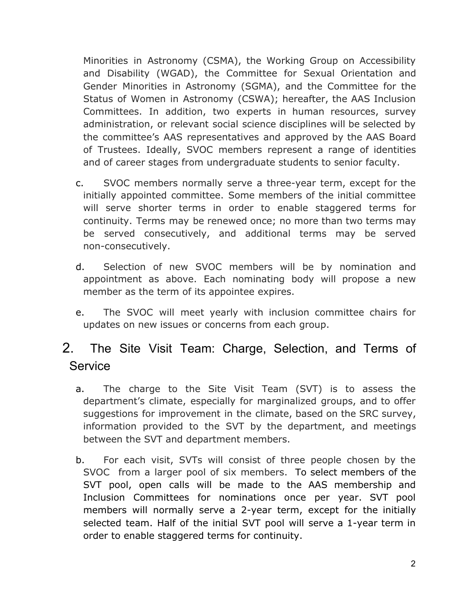Minorities in Astronomy (CSMA), the Working Group on Accessibility and Disability (WGAD), the Committee for Sexual Orientation and Gender Minorities in Astronomy (SGMA), and the Committee for the Status of Women in Astronomy (CSWA); hereafter, the AAS Inclusion Committees. In addition, two experts in human resources, survey administration, or relevant social science disciplines will be selected by the committee's AAS representatives and approved by the AAS Board of Trustees. Ideally, SVOC members represent a range of identities and of career stages from undergraduate students to senior faculty.

- c. SVOC members normally serve a three-year term, except for the initially appointed committee. Some members of the initial committee will serve shorter terms in order to enable staggered terms for continuity. Terms may be renewed once; no more than two terms may be served consecutively, and additional terms may be served non-consecutively.
- d. Selection of new SVOC members will be by nomination and appointment as above. Each nominating body will propose a new member as the term of its appointee expires.
- e. The SVOC will meet yearly with inclusion committee chairs for updates on new issues or concerns from each group.

# 2. The Site Visit Team: Charge, Selection, and Terms of **Service**

- a. The charge to the Site Visit Team (SVT) is to assess the department's climate, especially for marginalized groups, and to offer suggestions for improvement in the climate, based on the SRC survey, information provided to the SVT by the department, and meetings between the SVT and department members.
- b. For each visit, SVTs will consist of three people chosen by the SVOC from a larger pool of six members. To select members of the SVT pool, open calls will be made to the AAS membership and Inclusion Committees for nominations once per year. SVT pool members will normally serve a 2-year term, except for the initially selected team. Half of the initial SVT pool will serve a 1-year term in order to enable staggered terms for continuity.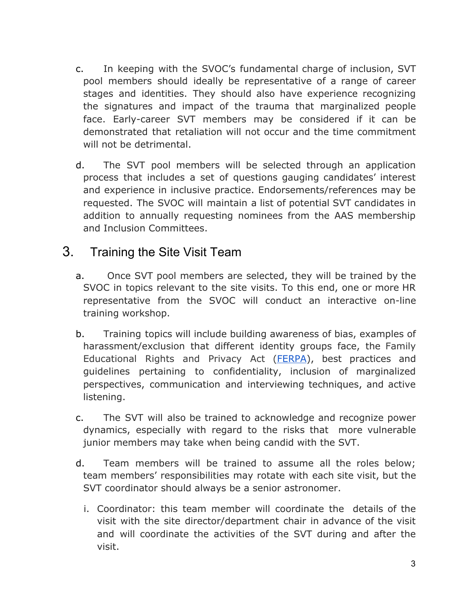- c. In keeping with the SVOC's fundamental charge of inclusion, SVT pool members should ideally be representative of a range of career stages and identities. They should also have experience recognizing the signatures and impact of the trauma that marginalized people face. Early-career SVT members may be considered if it can be demonstrated that retaliation will not occur and the time commitment will not be detrimental.
- d. The SVT pool members will be selected through an application process that includes a set of questions gauging candidates' interest and experience in inclusive practice. Endorsements/references may be requested. The SVOC will maintain a list of potential SVT candidates in addition to annually requesting nominees from the AAS membership and Inclusion Committees.

#### 3. Training the Site Visit Team

- a. Once SVT pool members are selected, they will be trained by the SVOC in topics relevant to the site visits. To this end, one or more HR representative from the SVOC will conduct an interactive on-line training workshop.
- b. Training topics will include building awareness of bias, examples of harassment/exclusion that different identity groups face, the Family Educational Rights and Privacy Act [\(FERPA\)](https://www2.ed.gov/policy/gen/guid/fpco/ferpa/index.html), best practices and guidelines pertaining to confidentiality, inclusion of marginalized perspectives, communication and interviewing techniques, and active listening.
- c. The SVT will also be trained to acknowledge and recognize power dynamics, especially with regard to the risks that more vulnerable junior members may take when being candid with the SVT.
- d. Team members will be trained to assume all the roles below; team members' responsibilities may rotate with each site visit, but the SVT coordinator should always be a senior astronomer.
	- i. Coordinator: this team member will coordinate the details of the visit with the site director/department chair in advance of the visit and will coordinate the activities of the SVT during and after the visit.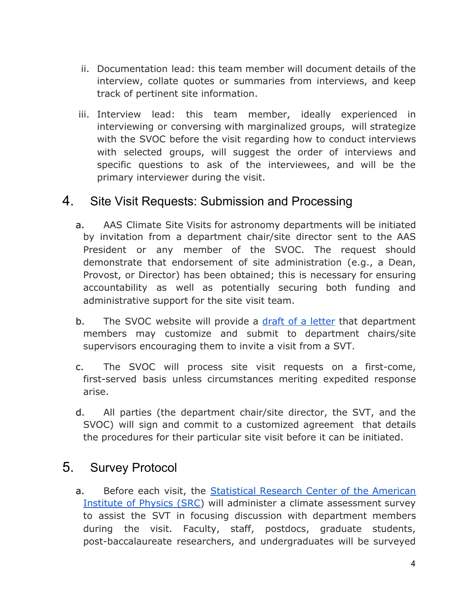- ii. Documentation lead: this team member will document details of the interview, collate quotes or summaries from interviews, and keep track of pertinent site information.
- iii. Interview lead: this team member, ideally experienced in interviewing or conversing with marginalized groups, will strategize with the SVOC before the visit regarding how to conduct interviews with selected groups, will suggest the order of interviews and specific questions to ask of the interviewees, and will be the primary interviewer during the visit.

#### 4. Site Visit Requests: Submission and Processing

- a. AAS Climate Site Visits for astronomy departments will be initiated by invitation from a department chair/site director sent to the AAS President or any member of the SVOC. The request should demonstrate that endorsement of site administration (e.g., a Dean, Provost, or Director) has been obtained; this is necessary for ensuring accountability as well as potentially securing both funding and administrative support for the site visit team.
- b. The SVOC website will provide a draft of a [letter](https://docs.google.com/document/d/1pDK6lw-uCHus3rJ0xC-rdu2lOfmBwWzsjQLJTqImE2A/edit?usp=sharing) that department members may customize and submit to department chairs/site supervisors encouraging them to invite a visit from a SVT.
- c. The SVOC will process site visit requests on a first-come, first-served basis unless circumstances meriting expedited response arise.
- d. All parties (the department chair/site director, the SVT, and the SVOC) will sign and commit to a customized agreement that details the procedures for their particular site visit before it can be initiated.

#### 5. Survey Protocol

a. Before each visit, the [Statistical](https://www.aip.org/statistics) Research Center of the American [Institute](https://www.aip.org/statistics) of Physics (SRC) will administer a climate assessment survey to assist the SVT in focusing discussion with department members during the visit. Faculty, staff, postdocs, graduate students, post-baccalaureate researchers, and undergraduates will be surveyed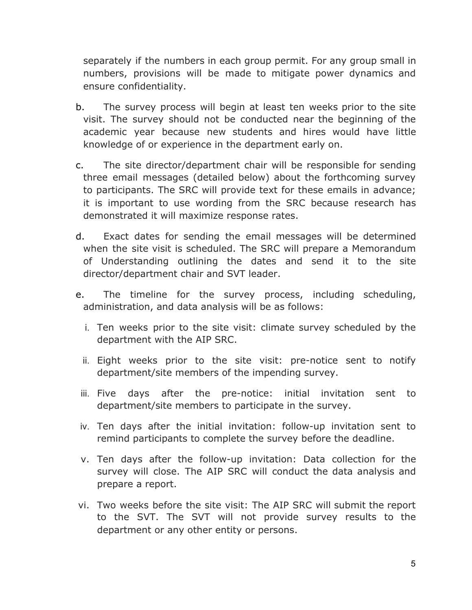separately if the numbers in each group permit. For any group small in numbers, provisions will be made to mitigate power dynamics and ensure confidentiality.

- b. The survey process will begin at least ten weeks prior to the site visit. The survey should not be conducted near the beginning of the academic year because new students and hires would have little knowledge of or experience in the department early on.
- c. The site director/department chair will be responsible for sending three email messages (detailed below) about the forthcoming survey to participants. The SRC will provide text for these emails in advance; it is important to use wording from the SRC because research has demonstrated it will maximize response rates.
- d. Exact dates for sending the email messages will be determined when the site visit is scheduled. The SRC will prepare a Memorandum of Understanding outlining the dates and send it to the site director/department chair and SVT leader.
- e. The timeline for the survey process, including scheduling, administration, and data analysis will be as follows:
	- i. Ten weeks prior to the site visit: climate survey scheduled by the department with the AIP SRC.
	- ii. Eight weeks prior to the site visit: pre-notice sent to notify department/site members of the impending survey.
	- iii. Five days after the pre-notice: initial invitation sent to department/site members to participate in the survey.
	- iv. Ten days after the initial invitation: follow-up invitation sent to remind participants to complete the survey before the deadline.
	- v. Ten days after the follow-up invitation: Data collection for the survey will close. The AIP SRC will conduct the data analysis and prepare a report.
- vi. Two weeks before the site visit: The AIP SRC will submit the report to the SVT. The SVT will not provide survey results to the department or any other entity or persons.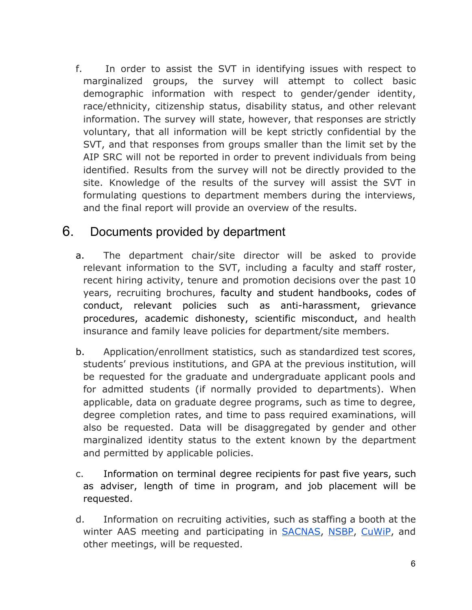f. In order to assist the SVT in identifying issues with respect to marginalized groups, the survey will attempt to collect basic demographic information with respect to gender/gender identity, race/ethnicity, citizenship status, disability status, and other relevant information. The survey will state, however, that responses are strictly voluntary, that all information will be kept strictly confidential by the SVT, and that responses from groups smaller than the limit set by the AIP SRC will not be reported in order to prevent individuals from being identified. Results from the survey will not be directly provided to the site. Knowledge of the results of the survey will assist the SVT in formulating questions to department members during the interviews, and the final report will provide an overview of the results.

### 6. Documents provided by department

- a. The department chair/site director will be asked to provide relevant information to the SVT, including a faculty and staff roster, recent hiring activity, tenure and promotion decisions over the past 10 years, recruiting brochures, faculty and student handbooks, codes of conduct, relevant policies such as anti-harassment, grievance procedures, academic dishonesty, scientific misconduct, and health insurance and family leave policies for department/site members.
- b. Application/enrollment statistics, such as standardized test scores, students' previous institutions, and GPA at the previous institution, will be requested for the graduate and undergraduate applicant pools and for admitted students (if normally provided to departments). When applicable, data on graduate degree programs, such as time to degree, degree completion rates, and time to pass required examinations, will also be requested. Data will be disaggregated by gender and other marginalized identity status to the extent known by the department and permitted by applicable policies.
- c. Information on terminal degree recipients for past five years, such as adviser, length of time in program, and job placement will be requested.
- d. Information on recruiting activities, such as staffing a booth at the winter AAS meeting and participating in **SACNAS**, [NSBP,](https://www.nsbp.org/) [CuWiP](https://www.aps.org/programs/women/workshops/cuwip.cfm), and other meetings, will be requested.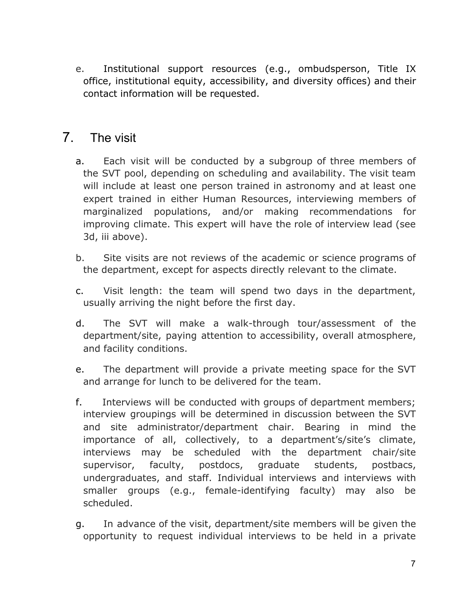e. Institutional support resources (e.g., ombudsperson, Title IX office, institutional equity, accessibility, and diversity offices) and their contact information will be requested.

#### 7. The visit

- a. Each visit will be conducted by a subgroup of three members of the SVT pool, depending on scheduling and availability. The visit team will include at least one person trained in astronomy and at least one expert trained in either Human Resources, interviewing members of marginalized populations, and/or making recommendations for improving climate. This expert will have the role of interview lead (see 3d, iii above).
- b. Site visits are not reviews of the academic or science programs of the department, except for aspects directly relevant to the climate.
- c. Visit length: the team will spend two days in the department, usually arriving the night before the first day.
- d. The SVT will make a walk-through tour/assessment of the department/site, paying attention to accessibility, overall atmosphere, and facility conditions.
- e. The department will provide a private meeting space for the SVT and arrange for lunch to be delivered for the team.
- f. Interviews will be conducted with groups of department members; interview groupings will be determined in discussion between the SVT and site administrator/department chair. Bearing in mind the importance of all, collectively, to a department's/site's climate, interviews may be scheduled with the department chair/site supervisor, faculty, postdocs, graduate students, postbacs, undergraduates, and staff. Individual interviews and interviews with smaller groups (e.g., female-identifying faculty) may also be scheduled.
- g. In advance of the visit, department/site members will be given the opportunity to request individual interviews to be held in a private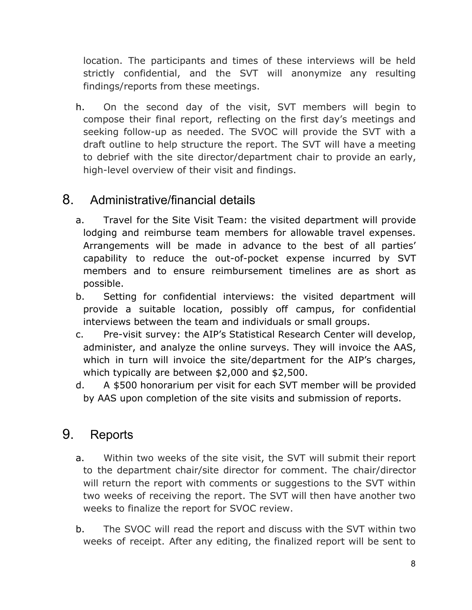location. The participants and times of these interviews will be held strictly confidential, and the SVT will anonymize any resulting findings/reports from these meetings.

h. On the second day of the visit, SVT members will begin to compose their final report, reflecting on the first day's meetings and seeking follow-up as needed. The SVOC will provide the SVT with a draft outline to help structure the report. The SVT will have a meeting to debrief with the site director/department chair to provide an early, high-level overview of their visit and findings.

### 8. Administrative/financial details

- a. Travel for the Site Visit Team: the visited department will provide lodging and reimburse team members for allowable travel expenses. Arrangements will be made in advance to the best of all parties' capability to reduce the out-of-pocket expense incurred by SVT members and to ensure reimbursement timelines are as short as possible.
- b. Setting for confidential interviews: the visited department will provide a suitable location, possibly off campus, for confidential interviews between the team and individuals or small groups.
- c. Pre-visit survey: the AIP's Statistical Research Center will develop, administer, and analyze the online surveys. They will invoice the AAS, which in turn will invoice the site/department for the AIP's charges, which typically are between \$2,000 and \$2,500.
- d. A \$500 honorarium per visit for each SVT member will be provided by AAS upon completion of the site visits and submission of reports.

# 9. Reports

- a. Within two weeks of the site visit, the SVT will submit their report to the department chair/site director for comment. The chair/director will return the report with comments or suggestions to the SVT within two weeks of receiving the report. The SVT will then have another two weeks to finalize the report for SVOC review.
- b. The SVOC will read the report and discuss with the SVT within two weeks of receipt. After any editing, the finalized report will be sent to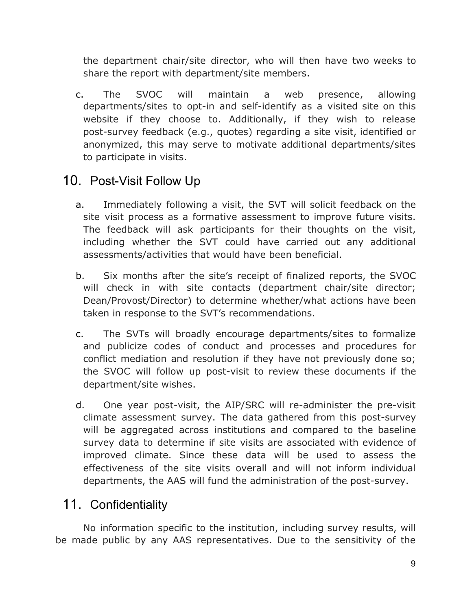the department chair/site director, who will then have two weeks to share the report with department/site members.

c. The SVOC will maintain a web presence, allowing departments/sites to opt-in and self-identify as a visited site on this website if they choose to. Additionally, if they wish to release post-survey feedback (e.g., quotes) regarding a site visit, identified or anonymized, this may serve to motivate additional departments/sites to participate in visits.

# 10. Post-Visit Follow Up

- a. Immediately following a visit, the SVT will solicit feedback on the site visit process as a formative assessment to improve future visits. The feedback will ask participants for their thoughts on the visit, including whether the SVT could have carried out any additional assessments/activities that would have been beneficial.
- b. Six months after the site's receipt of finalized reports, the SVOC will check in with site contacts (department chair/site director; Dean/Provost/Director) to determine whether/what actions have been taken in response to the SVT's recommendations.
- c. The SVTs will broadly encourage departments/sites to formalize and publicize codes of conduct and processes and procedures for conflict mediation and resolution if they have not previously done so; the SVOC will follow up post-visit to review these documents if the department/site wishes.
- d. One year post-visit, the AIP/SRC will re-administer the pre-visit climate assessment survey. The data gathered from this post-survey will be aggregated across institutions and compared to the baseline survey data to determine if site visits are associated with evidence of improved climate. Since these data will be used to assess the effectiveness of the site visits overall and will not inform individual departments, the AAS will fund the administration of the post-survey.

# 11. Confidentiality

No information specific to the institution, including survey results, will be made public by any AAS representatives. Due to the sensitivity of the